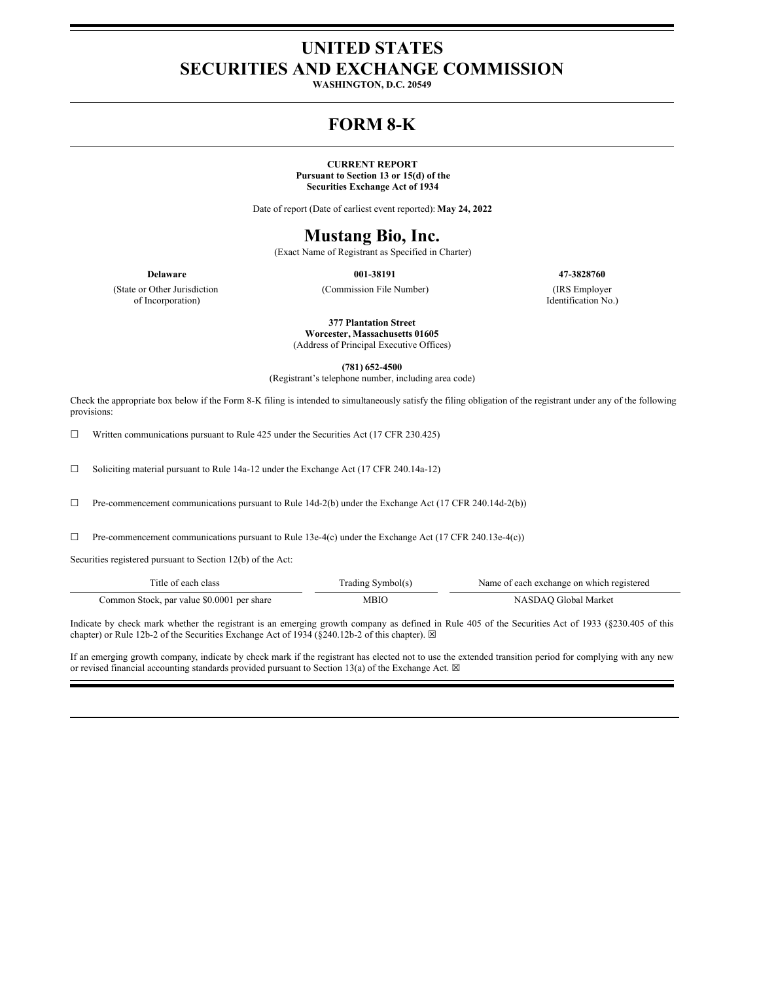### **UNITED STATES SECURITIES AND EXCHANGE COMMISSION**

**WASHINGTON, D.C. 20549**

# **FORM 8-K**

#### **CURRENT REPORT**

**Pursuant to Section 13 or 15(d) of the Securities Exchange Act of 1934**

Date of report (Date of earliest event reported): **May 24, 2022**

# **Mustang Bio, Inc.**

(Exact Name of Registrant as Specified in Charter)

(State or Other Jurisdiction of Incorporation)

(Commission File Number) (IRS Employer

**Delaware 001-38191 47-3828760**

Identification No.)

**377 Plantation Street Worcester, Massachusetts 01605**

(Address of Principal Executive Offices)

**(781) 652-4500**

(Registrant's telephone number, including area code)

Check the appropriate box below if the Form 8-K filing is intended to simultaneously satisfy the filing obligation of the registrant under any of the following provisions:

☐ Written communications pursuant to Rule 425 under the Securities Act (17 CFR 230.425)

☐ Soliciting material pursuant to Rule 14a-12 under the Exchange Act (17 CFR 240.14a-12)

☐ Pre-commencement communications pursuant to Rule 14d-2(b) under the Exchange Act (17 CFR 240.14d-2(b))

 $\Box$  Pre-commencement communications pursuant to Rule 13e-4(c) under the Exchange Act (17 CFR 240.13e-4(c))

Securities registered pursuant to Section 12(b) of the Act:

| Title of each class                        | Trading Symbol(s) | Name of each exchange on which registered |
|--------------------------------------------|-------------------|-------------------------------------------|
| Common Stock, par value \$0.0001 per share | MBIO              | NASDAO Global Market                      |

Indicate by check mark whether the registrant is an emerging growth company as defined in Rule 405 of the Securities Act of 1933 (§230.405 of this chapter) or Rule 12b-2 of the Securities Exchange Act of 1934 (§240.12b-2 of this chapter).  $\boxtimes$ 

If an emerging growth company, indicate by check mark if the registrant has elected not to use the extended transition period for complying with any new or revised financial accounting standards provided pursuant to Section 13(a) of the Exchange Act.  $\boxtimes$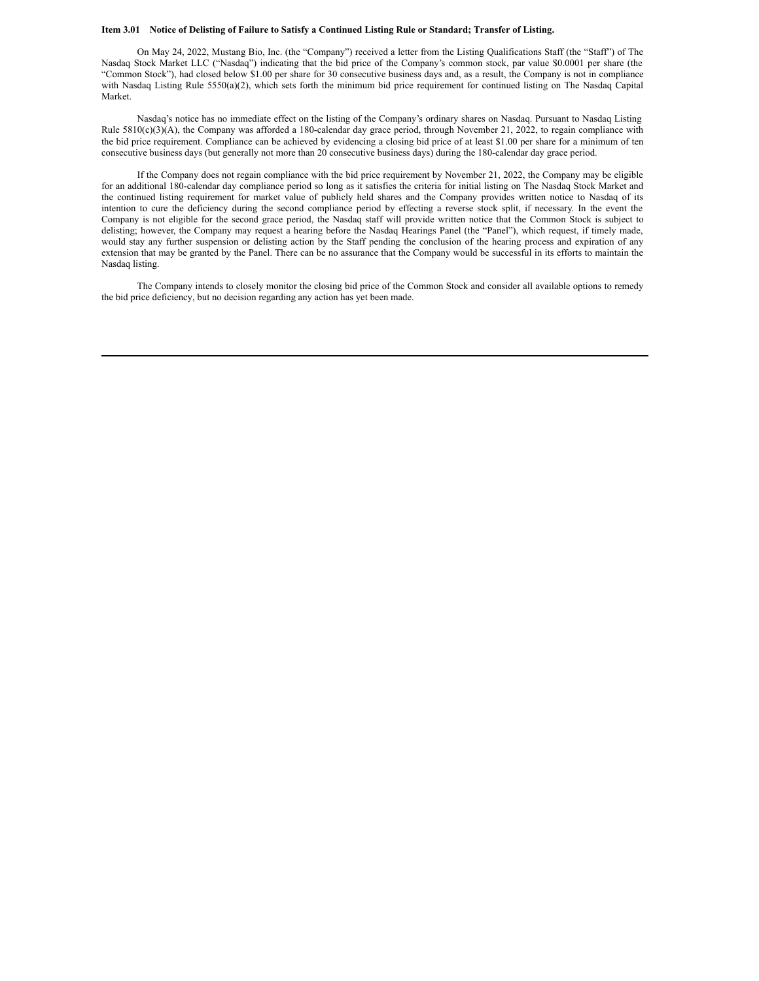#### Item 3.01 Notice of Delisting of Failure to Satisfy a Continued Listing Rule or Standard; Transfer of Listing.

On May 24, 2022, Mustang Bio, Inc. (the "Company") received a letter from the Listing Qualifications Staff (the "Staff") of The Nasdaq Stock Market LLC ("Nasdaq") indicating that the bid price of the Company's common stock, par value \$0.0001 per share (the "Common Stock"), had closed below \$1.00 per share for 30 consecutive business days and, as a result, the Company is not in compliance with Nasdaq Listing Rule 5550(a)(2), which sets forth the minimum bid price requirement for continued listing on The Nasdaq Capital Market.

Nasdaq's notice has no immediate effect on the listing of the Company's ordinary shares on Nasdaq. Pursuant to Nasdaq Listing Rule 5810(c)(3)(A), the Company was afforded a 180-calendar day grace period, through November 21, 2022, to regain compliance with the bid price requirement. Compliance can be achieved by evidencing a closing bid price of at least \$1.00 per share for a minimum of ten consecutive business days (but generally not more than 20 consecutive business days) during the 180-calendar day grace period.

If the Company does not regain compliance with the bid price requirement by November 21, 2022, the Company may be eligible for an additional 180-calendar day compliance period so long as it satisfies the criteria for initial listing on The Nasdaq Stock Market and the continued listing requirement for market value of publicly held shares and the Company provides written notice to Nasdaq of its intention to cure the deficiency during the second compliance period by effecting a reverse stock split, if necessary. In the event the Company is not eligible for the second grace period, the Nasdaq staff will provide written notice that the Common Stock is subject to delisting; however, the Company may request a hearing before the Nasdaq Hearings Panel (the "Panel"), which request, if timely made, would stay any further suspension or delisting action by the Staff pending the conclusion of the hearing process and expiration of any extension that may be granted by the Panel. There can be no assurance that the Company would be successful in its efforts to maintain the Nasdaq listing.

The Company intends to closely monitor the closing bid price of the Common Stock and consider all available options to remedy the bid price deficiency, but no decision regarding any action has yet been made.